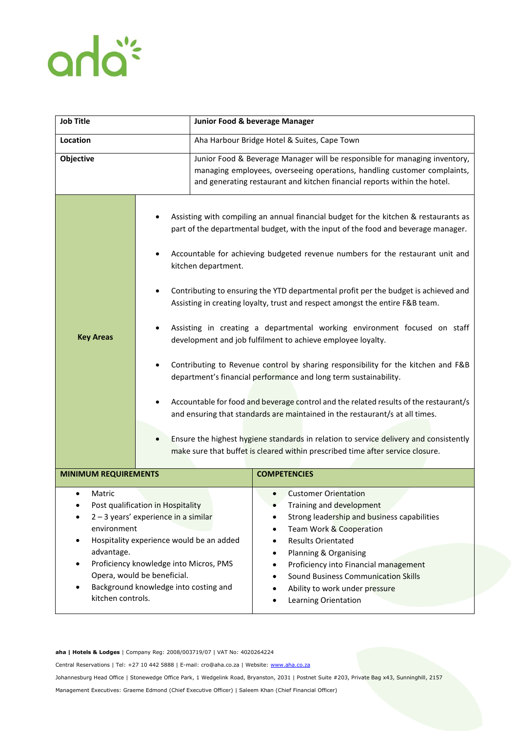## anla<sup>\*</sup>

| <b>Job Title</b>                                                                                                                                                                                                                                                                                  |  | Junior Food & beverage Manager                                                                                                                                                                                                                                                                                                                                                                                                                                                                                                                                                                                                                                                                                                                                                                                                                                                                                                                                                                                                                                                                                      |                                                                                                                                                                                                                                                                                                                                          |
|---------------------------------------------------------------------------------------------------------------------------------------------------------------------------------------------------------------------------------------------------------------------------------------------------|--|---------------------------------------------------------------------------------------------------------------------------------------------------------------------------------------------------------------------------------------------------------------------------------------------------------------------------------------------------------------------------------------------------------------------------------------------------------------------------------------------------------------------------------------------------------------------------------------------------------------------------------------------------------------------------------------------------------------------------------------------------------------------------------------------------------------------------------------------------------------------------------------------------------------------------------------------------------------------------------------------------------------------------------------------------------------------------------------------------------------------|------------------------------------------------------------------------------------------------------------------------------------------------------------------------------------------------------------------------------------------------------------------------------------------------------------------------------------------|
| <b>Location</b>                                                                                                                                                                                                                                                                                   |  | Aha Harbour Bridge Hotel & Suites, Cape Town                                                                                                                                                                                                                                                                                                                                                                                                                                                                                                                                                                                                                                                                                                                                                                                                                                                                                                                                                                                                                                                                        |                                                                                                                                                                                                                                                                                                                                          |
| Objective                                                                                                                                                                                                                                                                                         |  | Junior Food & Beverage Manager will be responsible for managing inventory,<br>managing employees, overseeing operations, handling customer complaints,<br>and generating restaurant and kitchen financial reports within the hotel.                                                                                                                                                                                                                                                                                                                                                                                                                                                                                                                                                                                                                                                                                                                                                                                                                                                                                 |                                                                                                                                                                                                                                                                                                                                          |
| <b>Key Areas</b>                                                                                                                                                                                                                                                                                  |  | Assisting with compiling an annual financial budget for the kitchen & restaurants as<br>part of the departmental budget, with the input of the food and beverage manager.<br>Accountable for achieving budgeted revenue numbers for the restaurant unit and<br>kitchen department.<br>Contributing to ensuring the YTD departmental profit per the budget is achieved and<br>Assisting in creating loyalty, trust and respect amongst the entire F&B team.<br>Assisting in creating a departmental working environment focused on staff<br>development and job fulfilment to achieve employee loyalty.<br>Contributing to Revenue control by sharing responsibility for the kitchen and F&B<br>department's financial performance and long term sustainability.<br>Accountable for food and beverage control and the related results of the restaurant/s<br>and ensuring that standards are maintained in the restaurant/s at all times.<br>Ensure the highest hygiene standards in relation to service delivery and consistently<br>make sure that buffet is cleared within prescribed time after service closure. |                                                                                                                                                                                                                                                                                                                                          |
| <b>MINIMUM REQUIREMENTS</b>                                                                                                                                                                                                                                                                       |  |                                                                                                                                                                                                                                                                                                                                                                                                                                                                                                                                                                                                                                                                                                                                                                                                                                                                                                                                                                                                                                                                                                                     | <b>COMPETENCIES</b>                                                                                                                                                                                                                                                                                                                      |
| Matric<br>Post qualification in Hospitality<br>2-3 years' experience in a similar<br>environment<br>Hospitality experience would be an added<br>advantage.<br>Proficiency knowledge into Micros, PMS<br>Opera, would be beneficial.<br>Background knowledge into costing and<br>kitchen controls. |  |                                                                                                                                                                                                                                                                                                                                                                                                                                                                                                                                                                                                                                                                                                                                                                                                                                                                                                                                                                                                                                                                                                                     | <b>Customer Orientation</b><br>Training and development<br>Strong leadership and business capabilities<br>Team Work & Cooperation<br><b>Results Orientated</b><br>Planning & Organising<br>Proficiency into Financial management<br><b>Sound Business Communication Skills</b><br>Ability to work under pressure<br>Learning Orientation |

## **aha | Hotels & Lodges** | Company Reg: 2008/003719/07 | VAT No: 4020264224

Central Reservations | Tel: +27 10 442 5888 | E-mail: cro@aha.co.za | Website[: www.aha.co.za](http://www.aha.co.za/)

Johannesburg Head Office | Stonewedge Office Park, 1 Wedgelink Road, Bryanston, 2031 | Postnet Suite #203, Private Bag x43, Sunninghill, 2157

Management Executives: Graeme Edmond (Chief Executive Officer) | Saleem Khan (Chief Financial Officer)